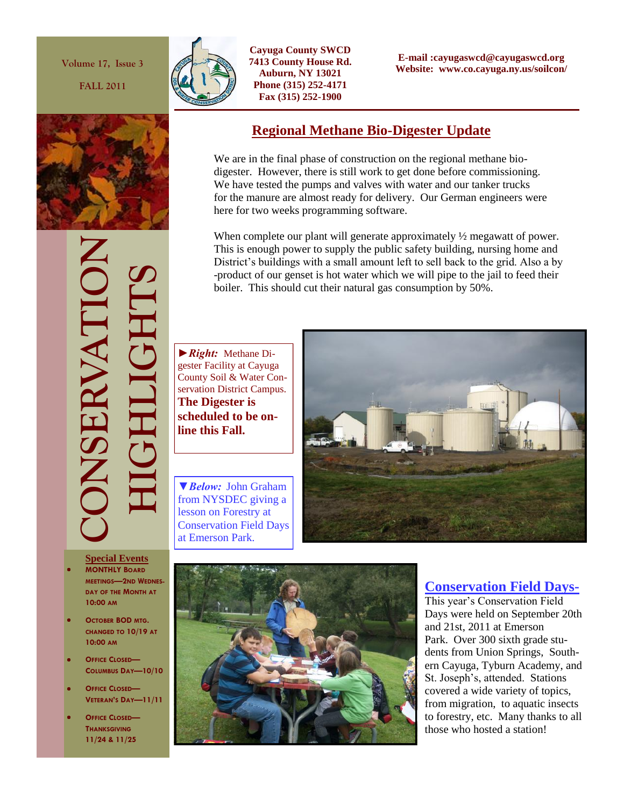**Volume 17, Issue 3**

**FALL 2011**



**Cayuga County SWCD 7413 County House Rd. Auburn, NY 13021 Phone (315) 252-4171 Fax (315) 252-1900**

**E-mail :cayugaswcd@cayugaswcd.org Website: www.co.cayuga.ny.us/soilcon/**

## **Regional Methane Bio-Digester Update**

We are in the final phase of construction on the regional methane biodigester. However, there is still work to get done before commissioning. We have tested the pumps and valves with water and our tanker trucks for the manure are almost ready for delivery. Our German engineers were here for two weeks programming software.

When complete our plant will generate approximately  $\frac{1}{2}$  megawatt of power. This is enough power to supply the public safety building, nursing home and District's buildings with a small amount left to sell back to the grid. Also a by -product of our genset is hot water which we will pipe to the jail to feed their boiler. This should cut their natural gas consumption by 50%.

*►Right:* Methane Digester Facility at Cayuga County Soil & Water Conservation District Campus. **The Digester is scheduled to be online this Fall.**

*▼Below:* John Graham from NYSDEC giving a lesson on Forestry at Conservation Field Days at Emerson Park.





- **MONTHLY BOARD MEETINGS—2ND WEDNES-DAY OF THE MONTH AT 10:00 AM**
- **OCTOBER BOD MTG. CHANGED TO 10/19 AT 10:00 AM**
- **OFFICE CLOSED— COLUMBUS DAY—10/10**
- **OFFICE CLOSED— VETERAN'S DAY—11/11**
- **OFFICE CLOSED— THANKSGIVING 11/24 & 11/25**



# **Conservation Field Days-**

This year's Conservation Field Days were held on September 20th and 21st, 2011 at Emerson Park. Over 300 sixth grade students from Union Springs, Southern Cayuga, Tyburn Academy, and St. Joseph's, attended. Stations covered a wide variety of topics, from migration, to aquatic insects to forestry, etc. Many thanks to all those who hosted a station!

**CONSERVATION HIGHLIGHTS** SERVATI